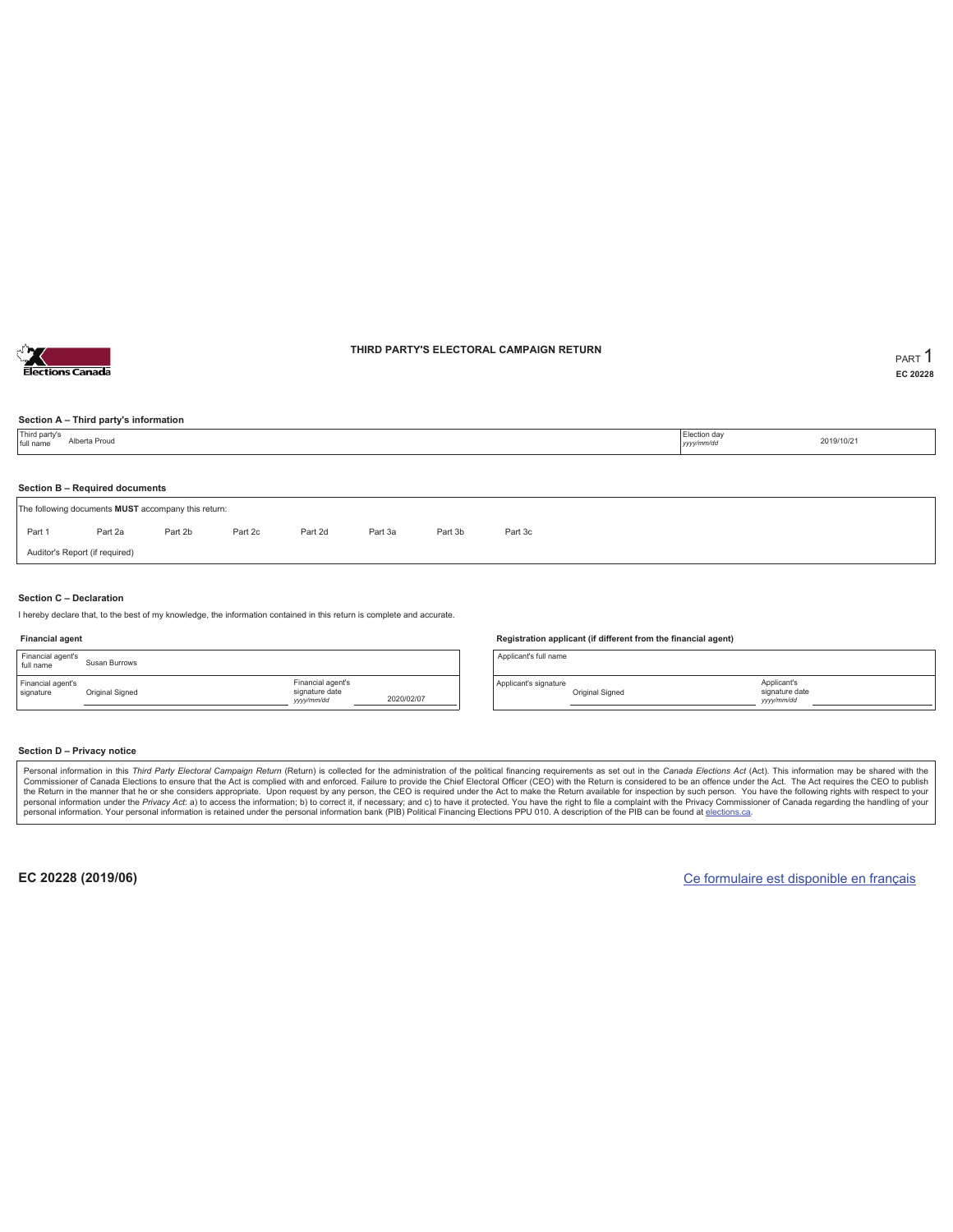

### **THIRD PARTY'S ELECTORAL CAMPAIGN RETURN PART** 1

**EC 20228**

### **Section A – Third party's information**

|                                                                                     | 2019/10/21<br>yyyy/mm/dd |  |  |  |  |  |  |  |  |  |  |
|-------------------------------------------------------------------------------------|--------------------------|--|--|--|--|--|--|--|--|--|--|
| Section B - Required documents                                                      |                          |  |  |  |  |  |  |  |  |  |  |
| The following documents MUST accompany this return:                                 |                          |  |  |  |  |  |  |  |  |  |  |
| Part 1<br>Part 2a<br>Part 2b<br>Part 2c<br>Part 2d<br>Part 3c<br>Part 3a<br>Part 3b |                          |  |  |  |  |  |  |  |  |  |  |
| Auditor's Report (if required)                                                      |                          |  |  |  |  |  |  |  |  |  |  |

### **Section C – Declaration**

I hereby declare that, to the best of my knowledge, the information contained in this return is complete and accurate.

### **Financial agent**

| Financial agent's<br>full name | Susan Burrows   |                                                  |            |
|--------------------------------|-----------------|--------------------------------------------------|------------|
| Financial agent's<br>signature | Original Signed | Financial agent's<br>signature date<br>yyy/mm/dd | 2020/02/07 |

#### **Registration applicant (if different from the financial agent)**

Applicant's full name

Applicant's signature Original Signed

### **Section D – Privacy notice**

Personal information in this Third Party Electoral Campaign Return (Return) is collected for the administration of the political financing requirements as set out in the Canada Elections Act (Act). This information may be Commissioner of Canada Elections to ensure that the Act is complied with and enforced. Failure to provide the Chief Electoral Officer (CEO) with the Return is considered to be an offence under the Act. The Act requires the personal information. Your personal information is retained under the personal information bank (PIB) Political Financing Elections PPU 010. A description of the PIB can be found at elections.ca.

**EC 20228 (2019/06)** Ce formulaire est disponible en français

Applicant's signature date *yyyy/mm/dd*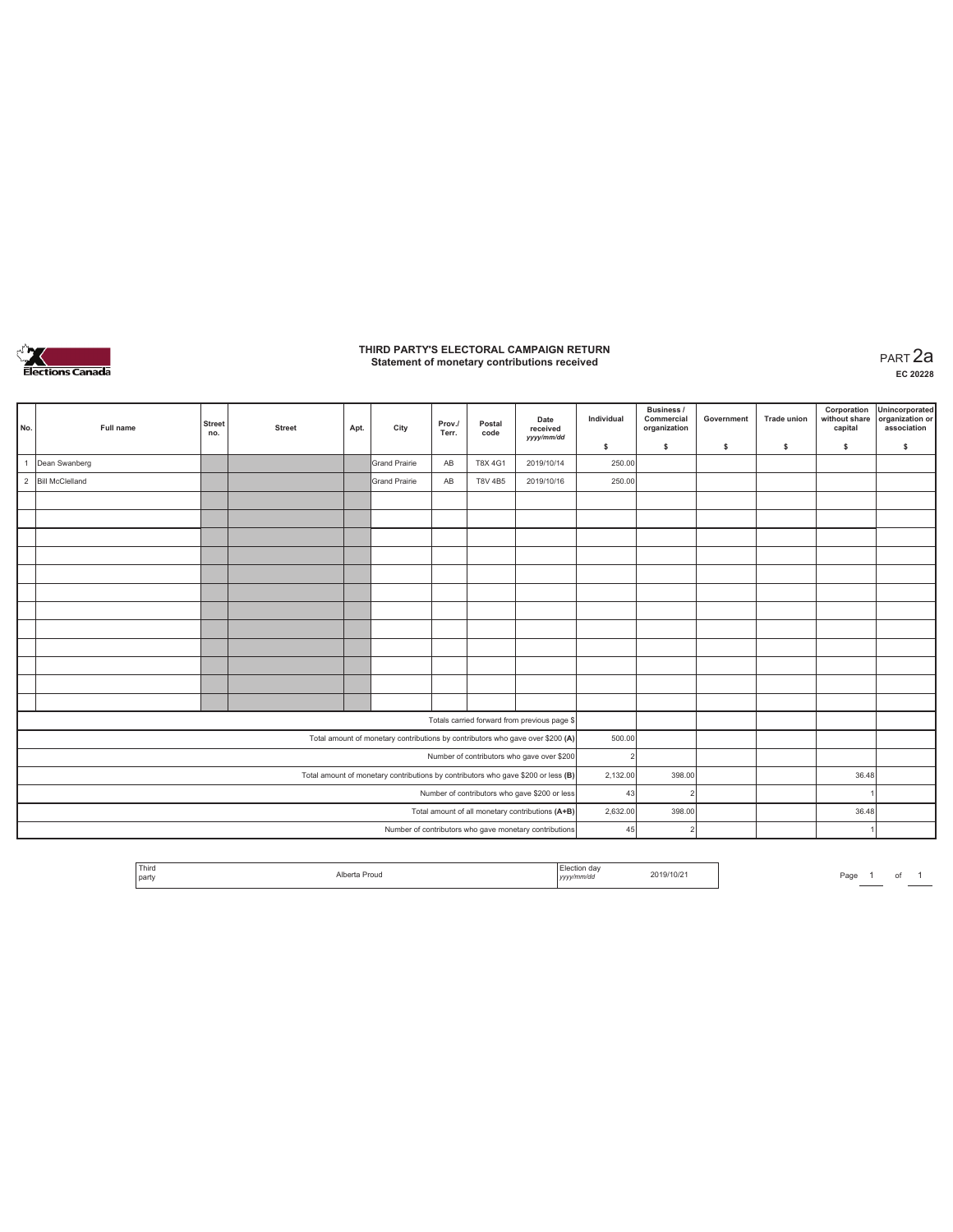

# **THIRD PARTY'S ELECTORAL CAMPAIGN RETURN Statement of monetary contributions received** PART 2a

| No. | Full name                                        | <b>Street</b><br>no. | <b>Street</b> | Apt. | City                                                                           | Prov./<br>Terr. | Postal<br>code | Date<br>received<br>yyyy/mm/dd                                                    | Individual     | Business /<br>Commercial<br>organization | Government | <b>Trade union</b> | Corporation<br>without share<br>capital | Unincorporated<br>organization or<br>association |
|-----|--------------------------------------------------|----------------------|---------------|------|--------------------------------------------------------------------------------|-----------------|----------------|-----------------------------------------------------------------------------------|----------------|------------------------------------------|------------|--------------------|-----------------------------------------|--------------------------------------------------|
|     |                                                  |                      |               |      |                                                                                |                 |                |                                                                                   | \$             | $\mathsf{s}$                             | \$         | s                  | \$                                      | \$                                               |
|     | Dean Swanberg                                    |                      |               |      | Grand Prairie                                                                  | AB              | <b>T8X 4G1</b> | 2019/10/14                                                                        | 250.00         |                                          |            |                    |                                         |                                                  |
|     | 2 Bill McClelland                                |                      |               |      | <b>Grand Prairie</b>                                                           | AB              | T8V 4B5        | 2019/10/16                                                                        | 250.00         |                                          |            |                    |                                         |                                                  |
|     |                                                  |                      |               |      |                                                                                |                 |                |                                                                                   |                |                                          |            |                    |                                         |                                                  |
|     |                                                  |                      |               |      |                                                                                |                 |                |                                                                                   |                |                                          |            |                    |                                         |                                                  |
|     |                                                  |                      |               |      |                                                                                |                 |                |                                                                                   |                |                                          |            |                    |                                         |                                                  |
|     |                                                  |                      |               |      |                                                                                |                 |                |                                                                                   |                |                                          |            |                    |                                         |                                                  |
|     |                                                  |                      |               |      |                                                                                |                 |                |                                                                                   |                |                                          |            |                    |                                         |                                                  |
|     |                                                  |                      |               |      |                                                                                |                 |                |                                                                                   |                |                                          |            |                    |                                         |                                                  |
|     |                                                  |                      |               |      |                                                                                |                 |                |                                                                                   |                |                                          |            |                    |                                         |                                                  |
|     |                                                  |                      |               |      |                                                                                |                 |                |                                                                                   |                |                                          |            |                    |                                         |                                                  |
|     |                                                  |                      |               |      |                                                                                |                 |                |                                                                                   |                |                                          |            |                    |                                         |                                                  |
|     |                                                  |                      |               |      |                                                                                |                 |                |                                                                                   |                |                                          |            |                    |                                         |                                                  |
|     |                                                  |                      |               |      |                                                                                |                 |                |                                                                                   |                |                                          |            |                    |                                         |                                                  |
|     |                                                  |                      |               |      |                                                                                |                 |                |                                                                                   |                |                                          |            |                    |                                         |                                                  |
|     |                                                  |                      |               |      |                                                                                |                 |                | Totals carried forward from previous page \$                                      |                |                                          |            |                    |                                         |                                                  |
|     |                                                  |                      |               |      | Total amount of monetary contributions by contributors who gave over \$200 (A) |                 |                |                                                                                   | 500.00         |                                          |            |                    |                                         |                                                  |
|     |                                                  |                      |               |      |                                                                                |                 |                | Number of contributors who gave over \$200                                        | $\overline{2}$ |                                          |            |                    |                                         |                                                  |
|     |                                                  |                      |               |      |                                                                                |                 |                | Total amount of monetary contributions by contributors who gave \$200 or less (B) | 2,132.00       | 398.00                                   |            |                    | 36.48                                   |                                                  |
|     | Number of contributors who gave \$200 or less    |                      |               |      |                                                                                |                 |                |                                                                                   | 43             |                                          |            |                    |                                         |                                                  |
|     | Total amount of all monetary contributions (A+B) |                      |               |      |                                                                                |                 |                |                                                                                   | 2,632.00       | 398.00                                   |            |                    | 36.48                                   |                                                  |
|     |                                                  |                      |               |      |                                                                                |                 |                | Number of contributors who gave monetary contributions                            | 45             | 2                                        |            |                    |                                         |                                                  |

| Third | rouc |      | 2019/10/21 | ∽ac. |  |  |
|-------|------|------|------------|------|--|--|
| par   | .    | ,,,, |            |      |  |  |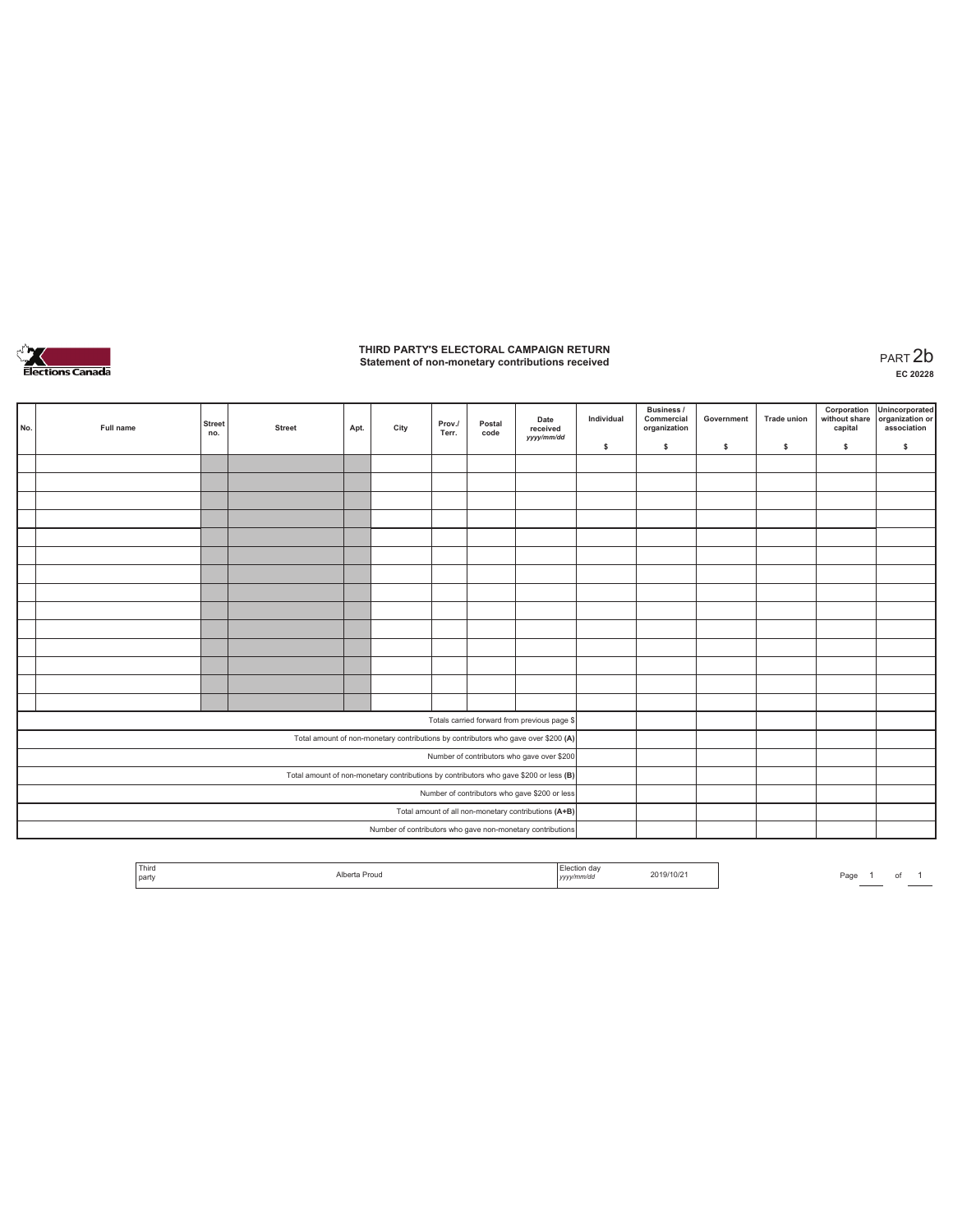

# **THIRD PARTY'S ELECTORAL CAMPAIGN RETURN Statement of non-monetary contributions received** PART 2b

| No.                                           | Full name | <b>Street</b><br>no. | <b>Street</b> | Apt. | City | Prov./<br>Terr. | Postal<br>code | Date<br>received<br>yyyy/mm/dd                                                        | Individual | <b>Business /</b><br>Commercial<br>organization | Government | <b>Trade union</b> | Corporation<br>without share<br>capital | Unincorporated<br>organization or<br>association |
|-----------------------------------------------|-----------|----------------------|---------------|------|------|-----------------|----------------|---------------------------------------------------------------------------------------|------------|-------------------------------------------------|------------|--------------------|-----------------------------------------|--------------------------------------------------|
|                                               |           |                      |               |      |      |                 |                |                                                                                       | \$         | $\mathbb S$                                     | \$         | $\mathbb S$        | \$                                      | \$                                               |
|                                               |           |                      |               |      |      |                 |                |                                                                                       |            |                                                 |            |                    |                                         |                                                  |
|                                               |           |                      |               |      |      |                 |                |                                                                                       |            |                                                 |            |                    |                                         |                                                  |
|                                               |           |                      |               |      |      |                 |                |                                                                                       |            |                                                 |            |                    |                                         |                                                  |
|                                               |           |                      |               |      |      |                 |                |                                                                                       |            |                                                 |            |                    |                                         |                                                  |
|                                               |           |                      |               |      |      |                 |                |                                                                                       |            |                                                 |            |                    |                                         |                                                  |
|                                               |           |                      |               |      |      |                 |                |                                                                                       |            |                                                 |            |                    |                                         |                                                  |
|                                               |           |                      |               |      |      |                 |                |                                                                                       |            |                                                 |            |                    |                                         |                                                  |
|                                               |           |                      |               |      |      |                 |                |                                                                                       |            |                                                 |            |                    |                                         |                                                  |
|                                               |           |                      |               |      |      |                 |                |                                                                                       |            |                                                 |            |                    |                                         |                                                  |
|                                               |           |                      |               |      |      |                 |                |                                                                                       |            |                                                 |            |                    |                                         |                                                  |
|                                               |           |                      |               |      |      |                 |                |                                                                                       |            |                                                 |            |                    |                                         |                                                  |
|                                               |           |                      |               |      |      |                 |                |                                                                                       |            |                                                 |            |                    |                                         |                                                  |
|                                               |           |                      |               |      |      |                 |                |                                                                                       |            |                                                 |            |                    |                                         |                                                  |
|                                               |           |                      |               |      |      |                 |                |                                                                                       |            |                                                 |            |                    |                                         |                                                  |
|                                               |           |                      |               |      |      |                 |                | Totals carried forward from previous page \$                                          |            |                                                 |            |                    |                                         |                                                  |
|                                               |           |                      |               |      |      |                 |                | Total amount of non-monetary contributions by contributors who gave over \$200 (A)    |            |                                                 |            |                    |                                         |                                                  |
|                                               |           |                      |               |      |      |                 |                | Number of contributors who gave over \$200                                            |            |                                                 |            |                    |                                         |                                                  |
|                                               |           |                      |               |      |      |                 |                | Total amount of non-monetary contributions by contributors who gave \$200 or less (B) |            |                                                 |            |                    |                                         |                                                  |
| Number of contributors who gave \$200 or less |           |                      |               |      |      |                 |                |                                                                                       |            |                                                 |            |                    |                                         |                                                  |
|                                               |           |                      |               |      |      |                 |                | Total amount of all non-monetary contributions (A+B)                                  |            |                                                 |            |                    |                                         |                                                  |
|                                               |           |                      |               |      |      |                 |                | Number of contributors who gave non-monetary contributions                            |            |                                                 |            |                    |                                         |                                                  |

| Third |                    |                     |            |      |  |  |
|-------|--------------------|---------------------|------------|------|--|--|
| party | Alberta Proud<br>. | .<br>annua<br>,,,,, | 2019/10/21 | Page |  |  |
|       |                    |                     |            |      |  |  |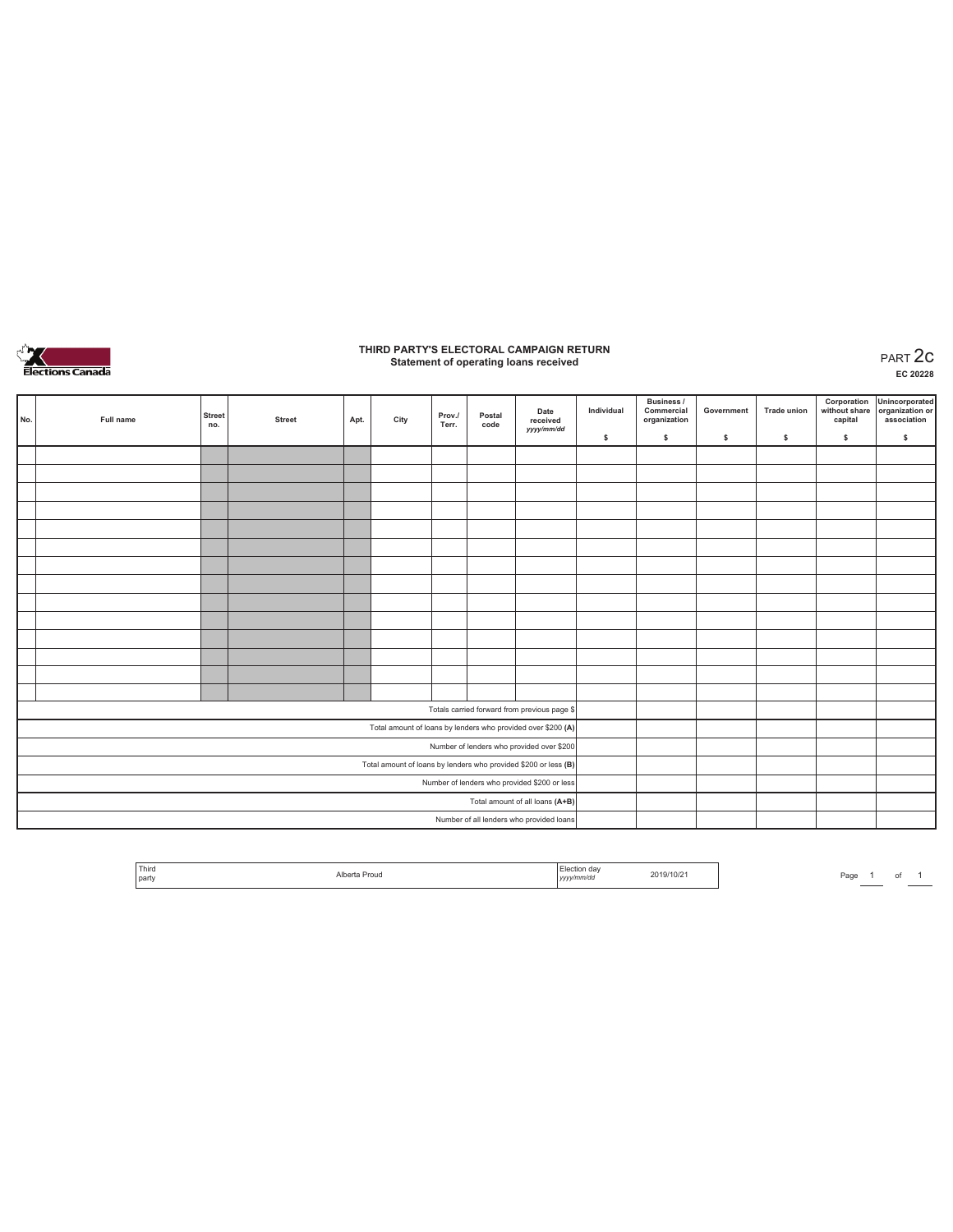

# **THIRD PARTY'S ELECTORAL CAMPAIGN RETURN Statement of operating loans received** PART 2c

**EC 20228**

| No.                                          | Full name | <b>Street</b><br>no. | <b>Street</b> | Apt. | City                                                            | Prov./<br>Terr. | Postal<br>code | Date<br>received<br>yyyy/mm/dd               | Individual | Business /<br>Commercial<br>organization | Government | Trade union | Corporation<br>without share<br>capital | Unincorporated<br>organization or<br>association |
|----------------------------------------------|-----------|----------------------|---------------|------|-----------------------------------------------------------------|-----------------|----------------|----------------------------------------------|------------|------------------------------------------|------------|-------------|-----------------------------------------|--------------------------------------------------|
|                                              |           |                      |               |      |                                                                 |                 |                |                                              | \$         | s.                                       | \$.        | \$          | \$                                      | \$                                               |
|                                              |           |                      |               |      |                                                                 |                 |                |                                              |            |                                          |            |             |                                         |                                                  |
|                                              |           |                      |               |      |                                                                 |                 |                |                                              |            |                                          |            |             |                                         |                                                  |
|                                              |           |                      |               |      |                                                                 |                 |                |                                              |            |                                          |            |             |                                         |                                                  |
|                                              |           |                      |               |      |                                                                 |                 |                |                                              |            |                                          |            |             |                                         |                                                  |
|                                              |           |                      |               |      |                                                                 |                 |                |                                              |            |                                          |            |             |                                         |                                                  |
|                                              |           |                      |               |      |                                                                 |                 |                |                                              |            |                                          |            |             |                                         |                                                  |
|                                              |           |                      |               |      |                                                                 |                 |                |                                              |            |                                          |            |             |                                         |                                                  |
|                                              |           |                      |               |      |                                                                 |                 |                |                                              |            |                                          |            |             |                                         |                                                  |
|                                              |           |                      |               |      |                                                                 |                 |                |                                              |            |                                          |            |             |                                         |                                                  |
|                                              |           |                      |               |      |                                                                 |                 |                |                                              |            |                                          |            |             |                                         |                                                  |
|                                              |           |                      |               |      |                                                                 |                 |                |                                              |            |                                          |            |             |                                         |                                                  |
|                                              |           |                      |               |      |                                                                 |                 |                |                                              |            |                                          |            |             |                                         |                                                  |
|                                              |           |                      |               |      |                                                                 |                 |                |                                              |            |                                          |            |             |                                         |                                                  |
|                                              |           |                      |               |      |                                                                 |                 |                |                                              |            |                                          |            |             |                                         |                                                  |
|                                              |           |                      |               |      |                                                                 |                 |                | Totals carried forward from previous page \$ |            |                                          |            |             |                                         |                                                  |
|                                              |           |                      |               |      | Total amount of loans by lenders who provided over \$200 (A)    |                 |                |                                              |            |                                          |            |             |                                         |                                                  |
|                                              |           |                      |               |      |                                                                 |                 |                | Number of lenders who provided over \$200    |            |                                          |            |             |                                         |                                                  |
|                                              |           |                      |               |      | Total amount of loans by lenders who provided \$200 or less (B) |                 |                |                                              |            |                                          |            |             |                                         |                                                  |
| Number of lenders who provided \$200 or less |           |                      |               |      |                                                                 |                 |                |                                              |            |                                          |            |             |                                         |                                                  |
|                                              |           |                      |               |      |                                                                 |                 |                | Total amount of all loans (A+B)              |            |                                          |            |             |                                         |                                                  |
|                                              |           |                      |               |      |                                                                 |                 |                | Number of all lenders who provided loans     |            |                                          |            |             |                                         |                                                  |

| Third |               | ction dav               |           |  |
|-------|---------------|-------------------------|-----------|--|
| party | `a Prou⊙<br>. | vyyy/mm/du<br>.<br>____ | 2019/10/2 |  |

Page  $1$  of  $1$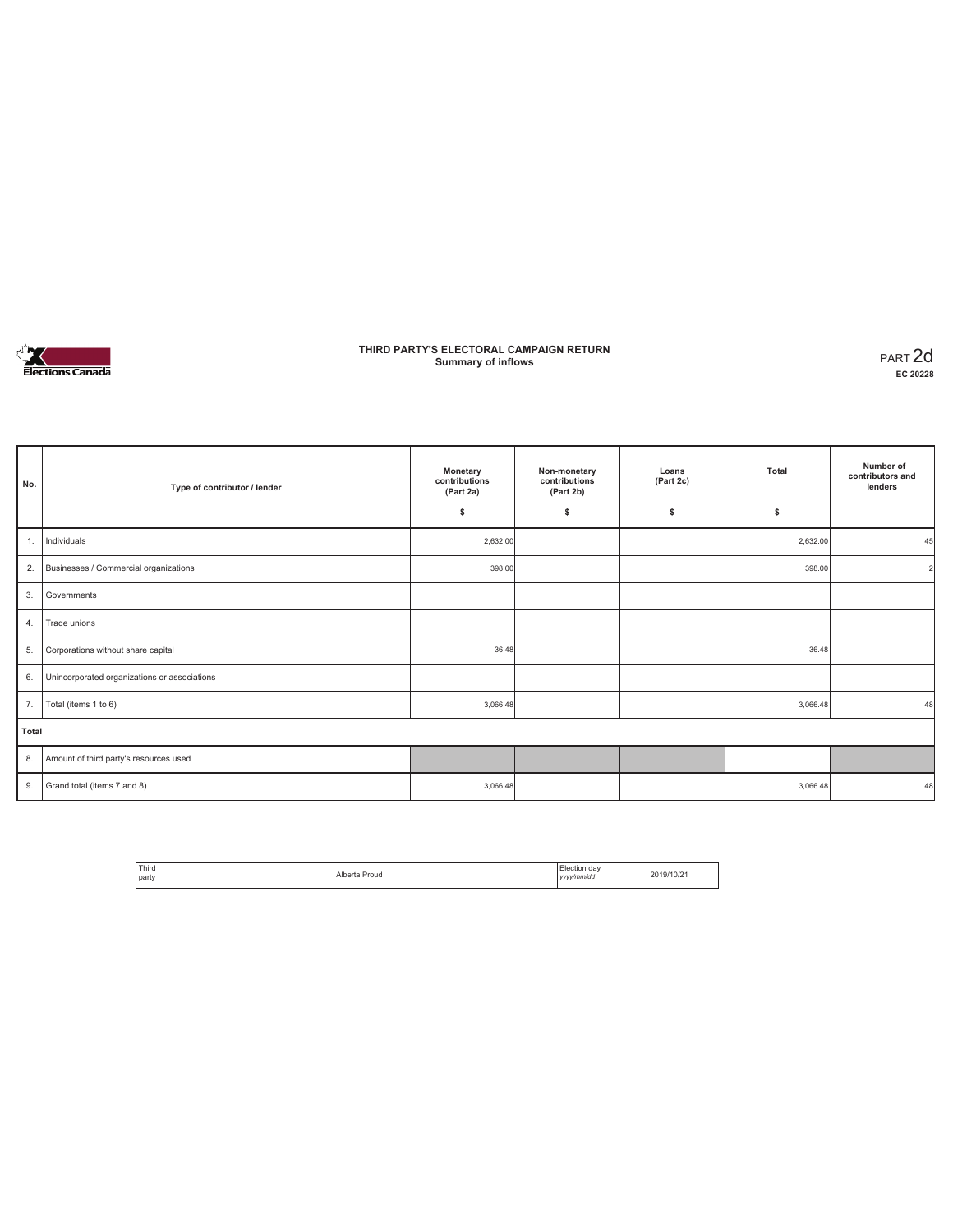

### **THIRD PARTY'S ELECTORAL CAMPAIGN RETURN Summary of inflows** PART 2d

| No.   | Type of contributor / lender                 | Monetary<br>contributions<br>(Part 2a) | Non-monetary<br>contributions<br>(Part 2b) | Loans<br>(Part 2c) | Total    | Number of<br>contributors and<br>lenders |
|-------|----------------------------------------------|----------------------------------------|--------------------------------------------|--------------------|----------|------------------------------------------|
|       |                                              | \$                                     | \$                                         | \$                 | \$       |                                          |
| 1.    | Individuals                                  | 2,632.00                               |                                            |                    | 2,632.00 | 45                                       |
| 2.    | Businesses / Commercial organizations        | 398.00                                 |                                            |                    | 398.00   |                                          |
| 3.    | Governments                                  |                                        |                                            |                    |          |                                          |
| 4.    | Trade unions                                 |                                        |                                            |                    |          |                                          |
| 5.    | Corporations without share capital           | 36.48                                  |                                            |                    | 36.48    |                                          |
| 6.    | Unincorporated organizations or associations |                                        |                                            |                    |          |                                          |
| 7.    | Total (items 1 to 6)                         | 3,066.48                               |                                            |                    | 3,066.48 | 48                                       |
| Total |                                              |                                        |                                            |                    |          |                                          |
| 8.    | Amount of third party's resources used       |                                        |                                            |                    |          |                                          |
| 9.    | Grand total (items 7 and 8)                  | 3,066.48                               |                                            |                    | 3,066.48 | 48                                       |

| <sup>1</sup> Third | Alborto | Flection day | 2019/10/2 |
|--------------------|---------|--------------|-----------|
| l party            | Proud   | yyyy/mm/dd   |           |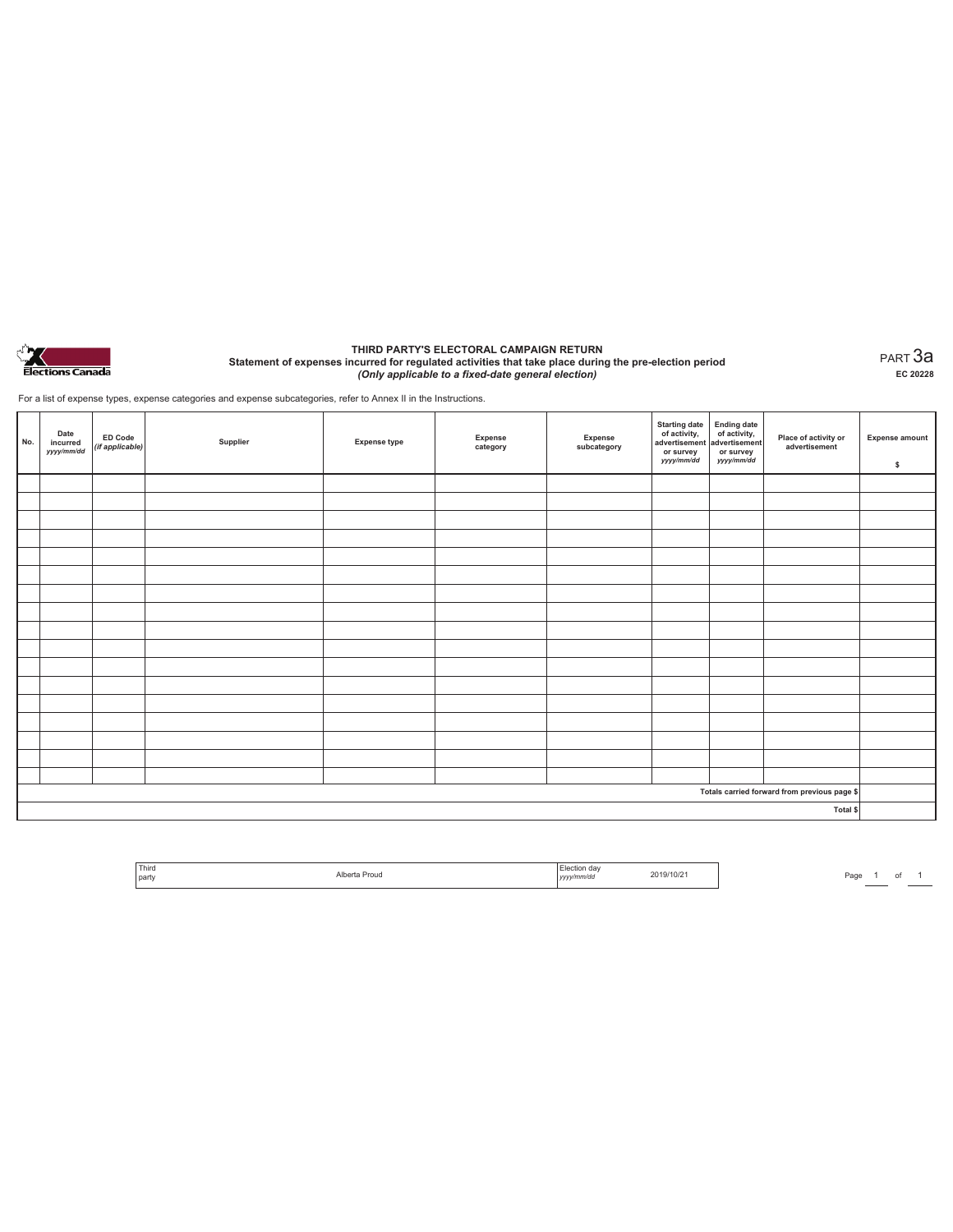

#### **THIRD PARTY'S ELECTORAL CAMPAIGN RETURN Statement of expenses incurred for regulated activities that take place during the pre-election period**  *(Only applicable to a fixed-date general election)*

PART 3a **EC 20228**

For a list of expense types, expense categories and expense subcategories, refer to Annex II in the Instructions.

| No. | Date<br>incurred<br>yyyy/mm/dd | <b>ED Code</b><br>(if applicable) | Supplier | <b>Expense type</b> | Expense<br>category | Expense<br>subcategory | Starting date<br>of activity,<br>advertisement<br>or survey<br>yyyy/mm/dd | Ending date<br>of activity,<br>advertisement<br>or survey<br>yyyy/mm/dd | Place of activity or<br>advertisement        | <b>Expense amount</b><br>\$ |
|-----|--------------------------------|-----------------------------------|----------|---------------------|---------------------|------------------------|---------------------------------------------------------------------------|-------------------------------------------------------------------------|----------------------------------------------|-----------------------------|
|     |                                |                                   |          |                     |                     |                        |                                                                           |                                                                         |                                              |                             |
|     |                                |                                   |          |                     |                     |                        |                                                                           |                                                                         |                                              |                             |
|     |                                |                                   |          |                     |                     |                        |                                                                           |                                                                         |                                              |                             |
|     |                                |                                   |          |                     |                     |                        |                                                                           |                                                                         |                                              |                             |
|     |                                |                                   |          |                     |                     |                        |                                                                           |                                                                         |                                              |                             |
|     |                                |                                   |          |                     |                     |                        |                                                                           |                                                                         |                                              |                             |
|     |                                |                                   |          |                     |                     |                        |                                                                           |                                                                         |                                              |                             |
|     |                                |                                   |          |                     |                     |                        |                                                                           |                                                                         |                                              |                             |
|     |                                |                                   |          |                     |                     |                        |                                                                           |                                                                         |                                              |                             |
|     |                                |                                   |          |                     |                     |                        |                                                                           |                                                                         |                                              |                             |
|     |                                |                                   |          |                     |                     |                        |                                                                           |                                                                         |                                              |                             |
|     |                                |                                   |          |                     |                     |                        |                                                                           |                                                                         |                                              |                             |
|     |                                |                                   |          |                     |                     |                        |                                                                           |                                                                         |                                              |                             |
|     |                                |                                   |          |                     |                     |                        |                                                                           |                                                                         |                                              |                             |
|     |                                |                                   |          |                     |                     |                        |                                                                           |                                                                         |                                              |                             |
|     |                                |                                   |          |                     |                     |                        |                                                                           |                                                                         |                                              |                             |
|     |                                |                                   |          |                     |                     |                        |                                                                           |                                                                         |                                              |                             |
|     |                                |                                   |          |                     |                     |                        |                                                                           |                                                                         | Totals carried forward from previous page \$ |                             |
|     |                                |                                   |          |                     |                     |                        |                                                                           |                                                                         | Total \$                                     |                             |

| Third<br>party | Proug<br>. | ı dav<br>тио<br>v/mm/dc<br> | $19/10$ / $\epsilon$ |
|----------------|------------|-----------------------------|----------------------|
|                |            |                             |                      |

Page 1 of 1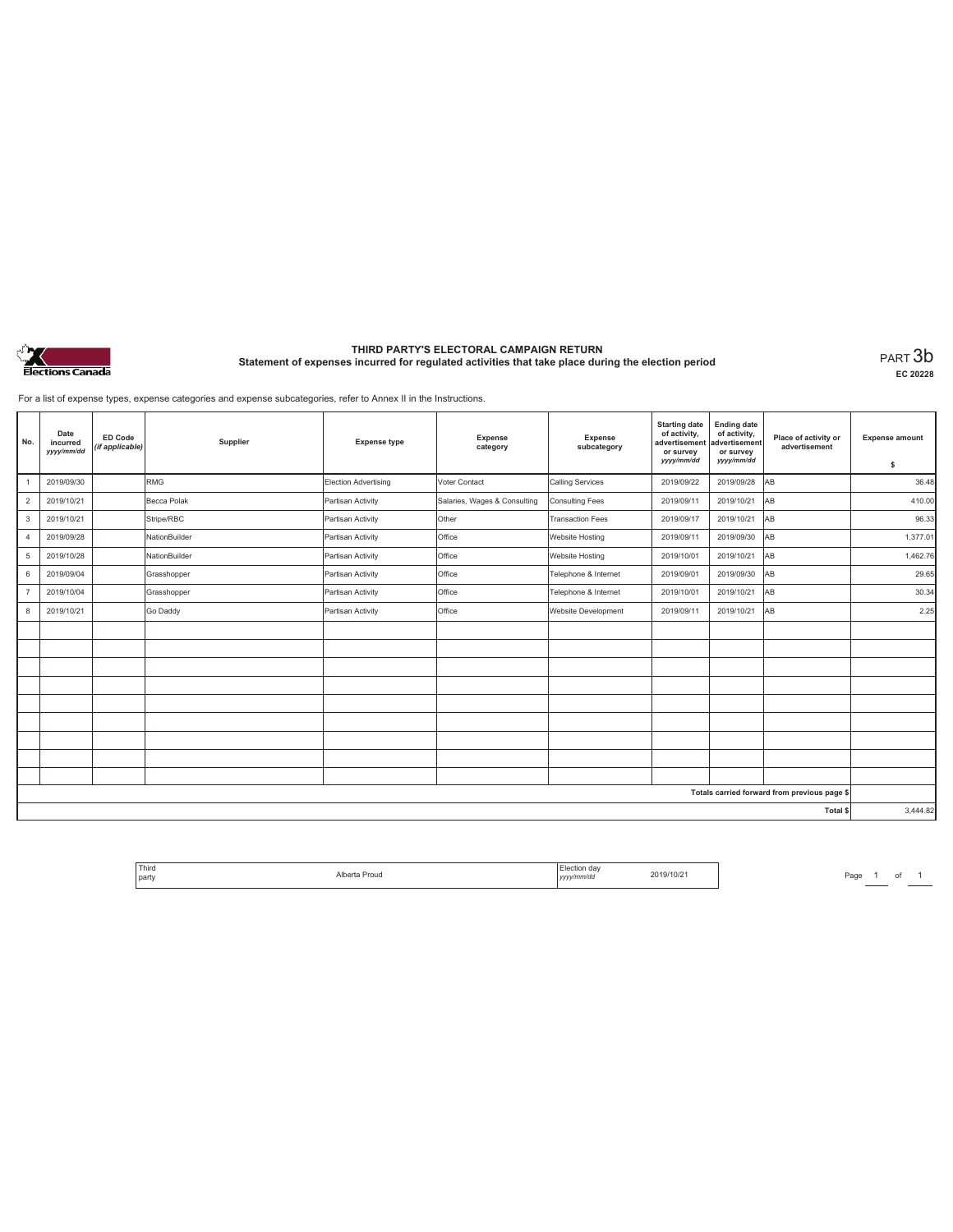

# **THIRD PARTY'S ELECTORAL CAMPAIGN RETURN Statement of expenses incurred for regulated activities that take place during the election period** PART 3b

**EC 20228**

For a list of expense types, expense categories and expense subcategories, refer to Annex II in the Instructions.

| No.                                          | Date<br>incurred<br>yyyy/mm/dd | <b>ED Code</b><br>(if applicable) | Supplier      | <b>Expense type</b>  | Expense<br>category          | <b>Expense</b><br>subcategory | <b>Starting date</b><br>of activity,<br>advertisement<br>or survey<br>yyyy/mm/dd | <b>Ending date</b><br>of activity,<br>advertisement<br>or survey<br>yyyy/mm/dd | Place of activity or<br>advertisement | <b>Expense amount</b><br>\$ |
|----------------------------------------------|--------------------------------|-----------------------------------|---------------|----------------------|------------------------------|-------------------------------|----------------------------------------------------------------------------------|--------------------------------------------------------------------------------|---------------------------------------|-----------------------------|
| 1                                            | 2019/09/30                     |                                   | <b>RMG</b>    | Election Advertising | Voter Contact                | Calling Services              | 2019/09/22                                                                       | 2019/09/28                                                                     | <b>AB</b>                             | 36.48                       |
| $\overline{2}$                               | 2019/10/21                     |                                   | Becca Polak   | Partisan Activity    | Salaries, Wages & Consulting | Consulting Fees               | 2019/09/11                                                                       | 2019/10/21                                                                     | AB                                    | 410.00                      |
| 3                                            | 2019/10/21                     |                                   | Stripe/RBC    | Partisan Activity    | Other                        | <b>Transaction Fees</b>       | 2019/09/17                                                                       | 2019/10/21                                                                     | AB                                    | 96.33                       |
| $\overline{4}$                               | 2019/09/28                     |                                   | NationBuilder | Partisan Activity    | Office                       | Website Hosting               | 2019/09/11                                                                       | 2019/09/30                                                                     | AB                                    | 1,377.01                    |
| $5\phantom{.0}$                              | 2019/10/28                     |                                   | NationBuilder | Partisan Activity    | Office                       | Website Hosting               | 2019/10/01                                                                       | 2019/10/21                                                                     | lав                                   | 1,462.76                    |
| 6                                            | 2019/09/04                     |                                   | Grasshopper   | Partisan Activity    | Office                       | Telephone & Internet          | 2019/09/01                                                                       | 2019/09/30                                                                     | lав                                   | 29.65                       |
| $\overline{7}$                               | 2019/10/04                     |                                   | Grasshopper   | Partisan Activity    | Office                       | Telephone & Internet          | 2019/10/01                                                                       | 2019/10/21                                                                     | AB                                    | 30.34                       |
| 8                                            | 2019/10/21                     |                                   | Go Daddy      | Partisan Activity    | Office                       | Website Development           | 2019/09/11                                                                       | 2019/10/21                                                                     | lав                                   | 2.25                        |
|                                              |                                |                                   |               |                      |                              |                               |                                                                                  |                                                                                |                                       |                             |
|                                              |                                |                                   |               |                      |                              |                               |                                                                                  |                                                                                |                                       |                             |
|                                              |                                |                                   |               |                      |                              |                               |                                                                                  |                                                                                |                                       |                             |
|                                              |                                |                                   |               |                      |                              |                               |                                                                                  |                                                                                |                                       |                             |
|                                              |                                |                                   |               |                      |                              |                               |                                                                                  |                                                                                |                                       |                             |
|                                              |                                |                                   |               |                      |                              |                               |                                                                                  |                                                                                |                                       |                             |
|                                              |                                |                                   |               |                      |                              |                               |                                                                                  |                                                                                |                                       |                             |
|                                              |                                |                                   |               |                      |                              |                               |                                                                                  |                                                                                |                                       |                             |
|                                              |                                |                                   |               |                      |                              |                               |                                                                                  |                                                                                |                                       |                             |
| Totals carried forward from previous page \$ |                                |                                   |               |                      |                              |                               |                                                                                  |                                                                                |                                       |                             |
| Total \$                                     |                                |                                   |               |                      |                              | 3,444.82                      |                                                                                  |                                                                                |                                       |                             |

| <sup>1</sup> Third<br>l party | Proug<br>. | $\mathbf{u}$<br>v/mm/do<br>1.41 | 19/10/2 |
|-------------------------------|------------|---------------------------------|---------|
| . .                           |            | ,,,,                            |         |

Page 1 of 1